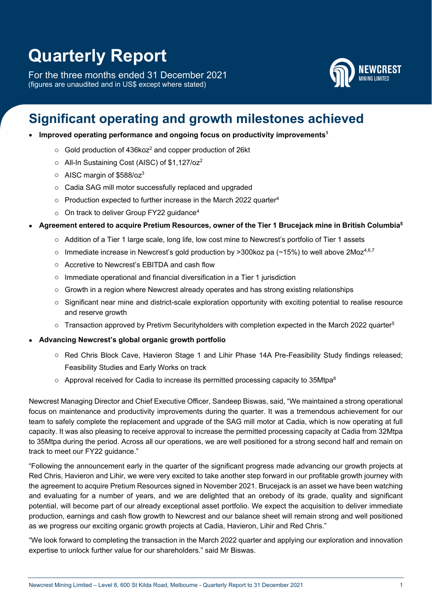# **Quarterly Report**

For the three months ended 31 December 2021 (figures are unaudited and in US\$ except where stated)



## **Significant operating and growth milestones achieved**

### • Improved operating performance and ongoing focus on productivity improvements<sup>1</sup>

- $\circ$  Gold production of 436koz<sup>2</sup> and copper production of 26kt
- o All-In Sustaining Cost (AISC) of \$1,127/oz2
- $\circ$  AISC margin of \$588/oz<sup>3</sup>
- o Cadia SAG mill motor successfully replaced and upgraded
- $\circ$  Production expected to further increase in the March 2022 quarter<sup>4</sup>
- $\circ$  On track to deliver Group FY22 guidance<sup>4</sup>

### **Agreement entered to acquire Pretium Resources, owner of the Tier 1 Brucejack mine in British Columbia5**

- o Addition of a Tier 1 large scale, long life, low cost mine to Newcrest's portfolio of Tier 1 assets
- $\circ$  Immediate increase in Newcrest's gold production by >300koz pa (~15%) to well above 2Moz<sup>4,6,7</sup>
- o Accretive to Newcrest's EBITDA and cash flow
- o Immediate operational and financial diversification in a Tier 1 jurisdiction
- o Growth in a region where Newcrest already operates and has strong existing relationships
- $\circ$  Significant near mine and district-scale exploration opportunity with exciting potential to realise resource and reserve growth
- $\circ$  Transaction approved by Pretivm Securityholders with completion expected in the March 2022 quarter<sup>5</sup>
- **Advancing Newcrest's global organic growth portfolio** 
	- o Red Chris Block Cave, Havieron Stage 1 and Lihir Phase 14A Pre-Feasibility Study findings released; Feasibility Studies and Early Works on track
	- $\circ$  Approval received for Cadia to increase its permitted processing capacity to 35Mtpa<sup>8</sup>

Newcrest Managing Director and Chief Executive Officer, Sandeep Biswas, said, "We maintained a strong operational focus on maintenance and productivity improvements during the quarter. It was a tremendous achievement for our team to safely complete the replacement and upgrade of the SAG mill motor at Cadia, which is now operating at full capacity. It was also pleasing to receive approval to increase the permitted processing capacity at Cadia from 32Mtpa to 35Mtpa during the period. Across all our operations, we are well positioned for a strong second half and remain on track to meet our FY22 guidance."

"Following the announcement early in the quarter of the significant progress made advancing our growth projects at Red Chris, Havieron and Lihir, we were very excited to take another step forward in our profitable growth journey with the agreement to acquire Pretium Resources signed in November 2021. Brucejack is an asset we have been watching and evaluating for a number of years, and we are delighted that an orebody of its grade, quality and significant potential, will become part of our already exceptional asset portfolio. We expect the acquisition to deliver immediate production, earnings and cash flow growth to Newcrest and our balance sheet will remain strong and well positioned as we progress our exciting organic growth projects at Cadia, Havieron, Lihir and Red Chris."

"We look forward to completing the transaction in the March 2022 quarter and applying our exploration and innovation expertise to unlock further value for our shareholders." said Mr Biswas.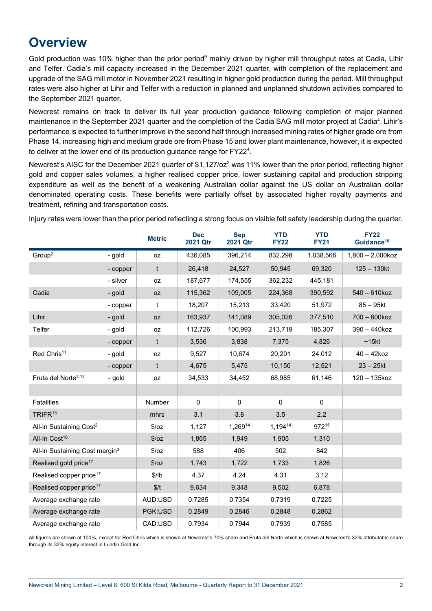## **Overview**

Gold production was 10% higher than the prior period<sup>9</sup> mainly driven by higher mill throughput rates at Cadia, Lihir and Telfer. Cadia's mill capacity increased in the December 2021 quarter, with completion of the replacement and upgrade of the SAG mill motor in November 2021 resulting in higher gold production during the period. Mill throughput rates were also higher at Lihir and Telfer with a reduction in planned and unplanned shutdown activities compared to the September 2021 quarter.

Newcrest remains on track to deliver its full year production guidance following completion of major planned maintenance in the September 2021 quarter and the completion of the Cadia SAG mill motor project at Cadia<sup>4</sup>. Lihir's performance is expected to further improve in the second half through increased mining rates of higher grade ore from Phase 14, increasing high and medium grade ore from Phase 15 and lower plant maintenance, however, it is expected to deliver at the lower end of its production guidance range for FY22<sup>4</sup>.

Newcrest's AISC for the December 2021 quarter of \$1,127/oz<sup>2</sup> was 11% lower than the prior period, reflecting higher gold and copper sales volumes, a higher realised copper price, lower sustaining capital and production stripping expenditure as well as the benefit of a weakening Australian dollar against the US dollar on Australian dollar denominated operating costs. These benefits were partially offset by associated higher royalty payments and treatment, refining and transportation costs.

Injury rates were lower than the prior period reflecting a strong focus on visible felt safety leadership during the quarter.

|                                            |          | <b>Metric</b> | <b>Dec</b><br>2021 Qtr | <b>Sep</b><br>2021 Qtr | <b>YTD</b><br><b>FY22</b> | <b>YTD</b><br><b>FY21</b> | <b>FY22</b><br>Guidance <sup>10</sup> |
|--------------------------------------------|----------|---------------|------------------------|------------------------|---------------------------|---------------------------|---------------------------------------|
| Group <sup>2</sup>                         | - gold   | oz            | 436,085                | 396,214                | 832,298                   | 1,038,566                 | $1,800 - 2,000$ koz                   |
|                                            | - copper | t             | 26,418                 | 24,527                 | 50,945                    | 69,320                    | $125 - 130kt$                         |
|                                            | - silver | oz            | 187,677                | 174,555                | 362,232                   | 445,181                   |                                       |
| Cadia                                      | - gold   | <b>OZ</b>     | 115,362                | 109,005                | 224,368                   | 390,592                   | 540 - 610koz                          |
|                                            | - copper | t             | 18,207                 | 15,213                 | 33,420                    | 51,972                    | $85 - 95$ kt                          |
| Lihir                                      | - gold   | 0Z            | 163,937                | 141,089                | 305,026                   | 377,510                   | 700 - 800koz                          |
| Telfer                                     | - gold   | oz            | 112,726                | 100,993                | 213,719                   | 185,307                   | 390 - 440koz                          |
|                                            | - copper | $\mathsf{t}$  | 3,536                  | 3,838                  | 7,375                     | 4,826                     | ~15kt                                 |
| Red Chris <sup>11</sup>                    | - gold   | oz            | 9,527                  | 10,674                 | 20,201                    | 24,012                    | $40 - 42k$ oz                         |
|                                            | - copper | t             | 4,675                  | 5,475                  | 10,150                    | 12,521                    | $23 - 25$ kt                          |
| Fruta del Norte <sup>2,12</sup>            | - gold   | 0Z            | 34,533                 | 34,452                 | 68,985                    | 61,146                    | 120 - 135koz                          |
|                                            |          |               |                        |                        |                           |                           |                                       |
| <b>Fatalities</b>                          |          | Number        | $\mathbf 0$            | $\mathbf 0$            | $\mathbf 0$               | $\mathbf 0$               |                                       |
| TRIFR <sup>13</sup>                        |          | mhrs          | 3.1                    | 3.8                    | 3.5                       | 2.2                       |                                       |
| All-In Sustaining Cost <sup>2</sup>        |          | \$/oz         | 1,127                  | 1,26914                | 1,19414                   | 97215                     |                                       |
| All-In Cost <sup>16</sup>                  |          | 5/oz          | 1,865                  | 1,949                  | 1,905                     | 1,310                     |                                       |
| All-In Sustaining Cost margin <sup>3</sup> |          | $\sqrt{2}/oz$ | 588                    | 406                    | 502                       | 842                       |                                       |
| Realised gold price <sup>17</sup>          |          | \$/oz         | 1,743                  | 1,722                  | 1,733                     | 1,826                     |                                       |
| Realised copper price <sup>17</sup>        |          | \$/lb         | 4.37                   | 4.24                   | 4.31                      | 3.12                      |                                       |
| Realised copper price <sup>17</sup>        |          | \$/t          | 9,634                  | 9,348                  | 9,502                     | 6,878                     |                                       |
| Average exchange rate                      |          | AUD:USD       | 0.7285                 | 0.7354                 | 0.7319                    | 0.7225                    |                                       |
| Average exchange rate                      |          | PGK:USD       | 0.2849                 | 0.2846                 | 0.2848                    | 0.2862                    |                                       |
| Average exchange rate                      |          | CAD:USD       | 0.7934                 | 0.7944                 | 0.7939                    | 0.7585                    |                                       |

All figures are shown at 100%, except for Red Chris which is shown at Newcrest's 70% share and Fruta del Norte which is shown at Newcrest's 32% attributable share through its 32% equity interest in Lundin Gold Inc.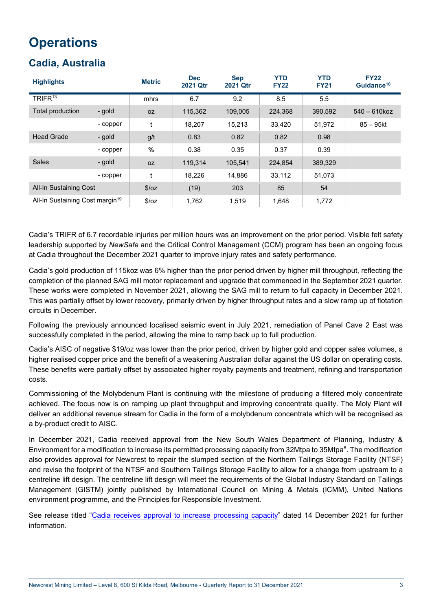## **Operations**

## **Cadia, Australia**

| <b>Highlights</b>                           |          | <b>Metric</b> | <b>Dec</b><br><b>2021 Qtr</b> | <b>Sep</b><br><b>2021 Qtr</b> | <b>YTD</b><br><b>FY22</b> | <b>YTD</b><br><b>FY21</b> | <b>FY22</b><br>Guidance <sup>10</sup> |
|---------------------------------------------|----------|---------------|-------------------------------|-------------------------------|---------------------------|---------------------------|---------------------------------------|
| TRIFR <sup>13</sup>                         |          | mhrs          | 6.7                           | 9.2                           | 8.5                       | 5.5                       |                                       |
| Total production                            | - gold   | 0Z            | 115,362                       | 109,005                       | 224,368                   | 390,592                   | $540 - 610k$ oz                       |
|                                             | - copper | t             | 18,207                        | 15,213                        | 33,420                    | 51,972                    | $85 - 95$ kt                          |
| <b>Head Grade</b>                           | - gold   | g/t           | 0.83                          | 0.82                          | 0.82                      | 0.98                      |                                       |
|                                             | - copper | $\%$          | 0.38                          | 0.35                          | 0.37                      | 0.39                      |                                       |
| <b>Sales</b>                                | - gold   | 0Z            | 119,314                       | 105,541                       | 224,854                   | 389,329                   |                                       |
|                                             | - copper | t             | 18,226                        | 14,886                        | 33,112                    | 51,073                    |                                       |
| All-In Sustaining Cost                      |          | \$/oz         | (19)                          | 203                           | 85                        | 54                        |                                       |
| All-In Sustaining Cost margin <sup>19</sup> |          | \$/oz         | 1,762                         | 1,519                         | 1,648                     | 1,772                     |                                       |

Cadia's TRIFR of 6.7 recordable injuries per million hours was an improvement on the prior period. Visible felt safety leadership supported by *NewSafe* and the Critical Control Management (CCM) program has been an ongoing focus at Cadia throughout the December 2021 quarter to improve injury rates and safety performance.

Cadia's gold production of 115koz was 6% higher than the prior period driven by higher mill throughput, reflecting the completion of the planned SAG mill motor replacement and upgrade that commenced in the September 2021 quarter. These works were completed in November 2021, allowing the SAG mill to return to full capacity in December 2021. This was partially offset by lower recovery, primarily driven by higher throughput rates and a slow ramp up of flotation circuits in December.

Following the previously announced localised seismic event in July 2021, remediation of Panel Cave 2 East was successfully completed in the period, allowing the mine to ramp back up to full production.

Cadia's AISC of negative \$19/oz was lower than the prior period, driven by higher gold and copper sales volumes, a higher realised copper price and the benefit of a weakening Australian dollar against the US dollar on operating costs. These benefits were partially offset by associated higher royalty payments and treatment, refining and transportation costs.

Commissioning of the Molybdenum Plant is continuing with the milestone of producing a filtered moly concentrate achieved. The focus now is on ramping up plant throughput and improving concentrate quality. The Moly Plant will deliver an additional revenue stream for Cadia in the form of a molybdenum concentrate which will be recognised as a by-product credit to AISC.

In December 2021, Cadia received approval from the New South Wales Department of Planning, Industry & Environment for a modification to increase its permitted processing capacity from 32Mtpa to 35Mtpa<sup>8</sup>. The modification also provides approval for Newcrest to repair the slumped section of the Northern Tailings Storage Facility (NTSF) and revise the footprint of the NTSF and Southern Tailings Storage Facility to allow for a change from upstream to a centreline lift design. The centreline lift design will meet the requirements of the Global Industry Standard on Tailings Management (GISTM) jointly published by International Council on Mining & Metals (ICMM), United Nations environment programme, and the Principles for Responsible Investment.

See release titled "Cadia receives approval to increase processing capacity" dated 14 December 2021 for further information.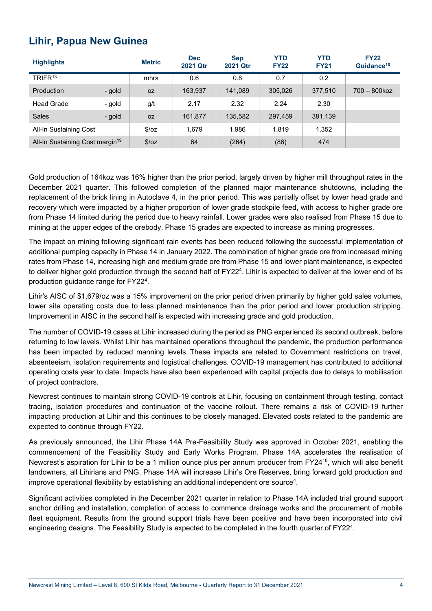### **Lihir, Papua New Guinea**

| <b>Highlights</b>                           |        | <b>Metric</b> | <b>Dec</b><br>2021 Qtr | <b>Sep</b><br><b>2021 Qtr</b> | <b>YTD</b><br><b>FY22</b> | <b>YTD</b><br><b>FY21</b> | <b>FY22</b><br>Guidance <sup>10</sup> |
|---------------------------------------------|--------|---------------|------------------------|-------------------------------|---------------------------|---------------------------|---------------------------------------|
| TRIFR <sup>13</sup>                         |        | mhrs          | 0.6                    | 0.8                           | 0.7                       | 0.2                       |                                       |
| <b>Production</b>                           | - gold | <b>OZ</b>     | 163,937                | 141,089                       | 305,026                   | 377,510                   | $700 - 800$ koz                       |
| <b>Head Grade</b>                           | - gold | g/t           | 2.17                   | 2.32                          | 2.24                      | 2.30                      |                                       |
| <b>Sales</b>                                | - gold | <b>OZ</b>     | 161,877                | 135,582                       | 297,459                   | 381,139                   |                                       |
| All-In Sustaining Cost                      |        | S/OZ          | 1,679                  | 1,986                         | 1,819                     | 1,352                     |                                       |
| All-In Sustaining Cost margin <sup>19</sup> |        | \$/oz         | 64                     | (264)                         | (86)                      | 474                       |                                       |

Gold production of 164koz was 16% higher than the prior period, largely driven by higher mill throughput rates in the December 2021 quarter. This followed completion of the planned major maintenance shutdowns, including the replacement of the brick lining in Autoclave 4, in the prior period. This was partially offset by lower head grade and recovery which were impacted by a higher proportion of lower grade stockpile feed, with access to higher grade ore from Phase 14 limited during the period due to heavy rainfall. Lower grades were also realised from Phase 15 due to mining at the upper edges of the orebody. Phase 15 grades are expected to increase as mining progresses.

The impact on mining following significant rain events has been reduced following the successful implementation of additional pumping capacity in Phase 14 in January 2022. The combination of higher grade ore from increased mining rates from Phase 14, increasing high and medium grade ore from Phase 15 and lower plant maintenance, is expected to deliver higher gold production through the second half of FY22<sup>4</sup>. Lihir is expected to deliver at the lower end of its production guidance range for FY22<sup>4</sup>.

Lihir's AISC of \$1,679/oz was a 15% improvement on the prior period driven primarily by higher gold sales volumes, lower site operating costs due to less planned maintenance than the prior period and lower production stripping. Improvement in AISC in the second half is expected with increasing grade and gold production.

The number of COVID-19 cases at Lihir increased during the period as PNG experienced its second outbreak, before returning to low levels. Whilst Lihir has maintained operations throughout the pandemic, the production performance has been impacted by reduced manning levels. These impacts are related to Government restrictions on travel, absenteeism, isolation requirements and logistical challenges. COVID-19 management has contributed to additional operating costs year to date. Impacts have also been experienced with capital projects due to delays to mobilisation of project contractors.

Newcrest continues to maintain strong COVID-19 controls at Lihir, focusing on containment through testing, contact tracing, isolation procedures and continuation of the vaccine rollout. There remains a risk of COVID-19 further impacting production at Lihir and this continues to be closely managed. Elevated costs related to the pandemic are expected to continue through FY22.

As previously announced, the Lihir Phase 14A Pre-Feasibility Study was approved in October 2021, enabling the commencement of the Feasibility Study and Early Works Program. Phase 14A accelerates the realisation of Newcrest's aspiration for Lihir to be a 1 million ounce plus per annum producer from FY24<sup>18</sup>, which will also benefit landowners, all Lihirians and PNG. Phase 14A will increase Lihir's Ore Reserves, bring forward gold production and improve operational flexibility by establishing an additional independent ore source<sup>4</sup>.

Significant activities completed in the December 2021 quarter in relation to Phase 14A included trial ground support anchor drilling and installation, completion of access to commence drainage works and the procurement of mobile fleet equipment. Results from the ground support trials have been positive and have been incorporated into civil engineering designs. The Feasibility Study is expected to be completed in the fourth quarter of FY22<sup>4</sup>.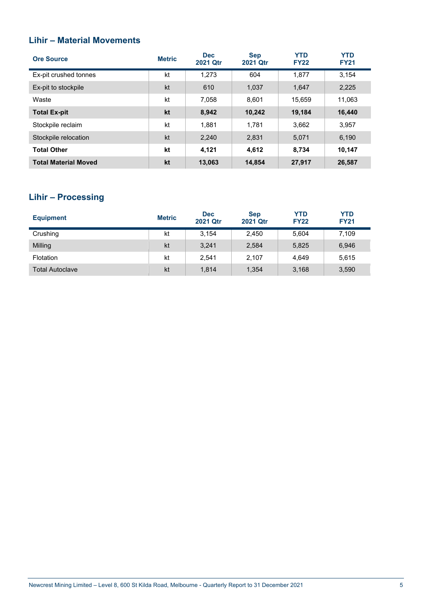### **Lihir – Material Movements**

| <b>Ore Source</b>           | <b>Metric</b> | <b>Dec</b><br><b>2021 Qtr</b> | <b>Sep</b><br><b>2021 Otr</b> | <b>YTD</b><br><b>FY22</b> | <b>YTD</b><br><b>FY21</b> |
|-----------------------------|---------------|-------------------------------|-------------------------------|---------------------------|---------------------------|
| Ex-pit crushed tonnes       | kt            | 1.273                         | 604                           | 1.877                     | 3,154                     |
| Ex-pit to stockpile         | kt            | 610                           | 1,037                         | 1,647                     | 2,225                     |
| Waste                       | kt            | 7.058                         | 8.601                         | 15,659                    | 11,063                    |
| <b>Total Ex-pit</b>         | kt            | 8,942                         | 10,242                        | 19,184                    | 16,440                    |
| Stockpile reclaim           | kt            | 1,881                         | 1.781                         | 3,662                     | 3,957                     |
| Stockpile relocation        | kt            | 2,240                         | 2,831                         | 5,071                     | 6,190                     |
| <b>Total Other</b>          | kt            | 4.121                         | 4.612                         | 8.734                     | 10.147                    |
| <b>Total Material Moved</b> | kt            | 13,063                        | 14,854                        | 27,917                    | 26,587                    |

### **Lihir – Processing**

| <b>Equipment</b>       | <b>Metric</b> | <b>Dec</b><br>2021 Qtr | <b>Sep</b><br>2021 Qtr | <b>YTD</b><br><b>FY22</b> | <b>YTD</b><br><b>FY21</b> |
|------------------------|---------------|------------------------|------------------------|---------------------------|---------------------------|
| Crushing               | kt            | 3.154                  | 2.450                  | 5,604                     | 7,109                     |
| Milling                | kt            | 3,241                  | 2,584                  | 5,825                     | 6,946                     |
| Flotation              | kt            | 2,541                  | 2,107                  | 4,649                     | 5,615                     |
| <b>Total Autoclave</b> | kt            | 1.814                  | 1,354                  | 3,168                     | 3,590                     |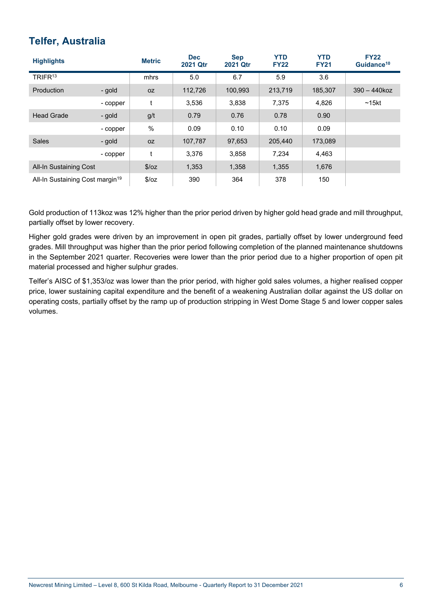### **Telfer, Australia**

| <b>Highlights</b>                           |          | <b>Metric</b> | <b>Dec</b><br>2021 Qtr | <b>Sep</b><br><b>2021 Qtr</b> | <b>YTD</b><br><b>FY22</b> | <b>YTD</b><br><b>FY21</b> | <b>FY22</b><br>Guidance <sup>10</sup> |
|---------------------------------------------|----------|---------------|------------------------|-------------------------------|---------------------------|---------------------------|---------------------------------------|
| TRIFR <sup>13</sup>                         |          | mhrs          | 5.0                    | 6.7                           | 5.9                       | 3.6                       |                                       |
| Production                                  | - gold   | 0Z            | 112,726                | 100,993                       | 213,719                   | 185,307                   | $390 - 440k$ oz                       |
|                                             | - copper | t             | 3,536                  | 3,838                         | 7,375                     | 4,826                     | $~15$ kt                              |
| <b>Head Grade</b>                           | - gold   | g/t           | 0.79                   | 0.76                          | 0.78                      | 0.90                      |                                       |
|                                             | - copper | %             | 0.09                   | 0.10                          | 0.10                      | 0.09                      |                                       |
| <b>Sales</b>                                | - gold   | 0Z            | 107,787                | 97,653                        | 205,440                   | 173,089                   |                                       |
|                                             | - copper | t             | 3,376                  | 3,858                         | 7,234                     | 4,463                     |                                       |
| All-In Sustaining Cost                      |          | \$/oz         | 1,353                  | 1,358                         | 1,355                     | 1,676                     |                                       |
| All-In Sustaining Cost margin <sup>19</sup> |          | \$/oz         | 390                    | 364                           | 378                       | 150                       |                                       |

Gold production of 113koz was 12% higher than the prior period driven by higher gold head grade and mill throughput, partially offset by lower recovery.

Higher gold grades were driven by an improvement in open pit grades, partially offset by lower underground feed grades. Mill throughput was higher than the prior period following completion of the planned maintenance shutdowns in the September 2021 quarter. Recoveries were lower than the prior period due to a higher proportion of open pit material processed and higher sulphur grades.

Telfer's AISC of \$1,353/oz was lower than the prior period, with higher gold sales volumes, a higher realised copper price, lower sustaining capital expenditure and the benefit of a weakening Australian dollar against the US dollar on operating costs, partially offset by the ramp up of production stripping in West Dome Stage 5 and lower copper sales volumes.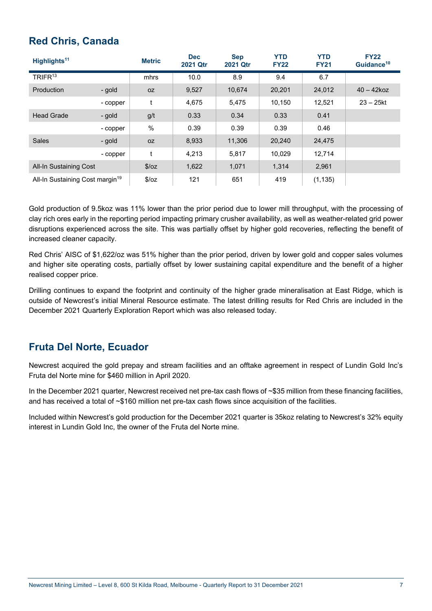### **Red Chris, Canada**

| Highlights <sup>11</sup>                    |          | <b>Metric</b> | <b>Dec</b><br>2021 Qtr | <b>Sep</b><br>2021 Qtr | <b>YTD</b><br><b>FY22</b> | <b>YTD</b><br><b>FY21</b> | <b>FY22</b><br>Guidance <sup>10</sup> |
|---------------------------------------------|----------|---------------|------------------------|------------------------|---------------------------|---------------------------|---------------------------------------|
| TRIFR <sup>13</sup>                         |          | mhrs          | 10.0                   | 8.9                    | 9.4                       | 6.7                       |                                       |
| Production                                  | - gold   | 0Z            | 9,527                  | 10,674                 | 20,201                    | 24,012                    | $40 - 42k$ oz                         |
|                                             | - copper | t             | 4,675                  | 5,475                  | 10,150                    | 12,521                    | $23 - 25$ kt                          |
| <b>Head Grade</b>                           | - gold   | g/t           | 0.33                   | 0.34                   | 0.33                      | 0.41                      |                                       |
|                                             | - copper | %             | 0.39                   | 0.39                   | 0.39                      | 0.46                      |                                       |
| <b>Sales</b>                                | - gold   | OZ            | 8,933                  | 11,306                 | 20,240                    | 24,475                    |                                       |
|                                             | - copper | t             | 4,213                  | 5,817                  | 10,029                    | 12,714                    |                                       |
| All-In Sustaining Cost                      |          | \$/oz         | 1,622                  | 1,071                  | 1,314                     | 2,961                     |                                       |
| All-In Sustaining Cost margin <sup>19</sup> |          | \$/oz         | 121                    | 651                    | 419                       | (1, 135)                  |                                       |

Gold production of 9.5koz was 11% lower than the prior period due to lower mill throughput, with the processing of clay rich ores early in the reporting period impacting primary crusher availability, as well as weather-related grid power disruptions experienced across the site. This was partially offset by higher gold recoveries, reflecting the benefit of increased cleaner capacity.

Red Chris' AISC of \$1,622/oz was 51% higher than the prior period, driven by lower gold and copper sales volumes and higher site operating costs, partially offset by lower sustaining capital expenditure and the benefit of a higher realised copper price.

Drilling continues to expand the footprint and continuity of the higher grade mineralisation at East Ridge, which is outside of Newcrest's initial Mineral Resource estimate. The latest drilling results for Red Chris are included in the December 2021 Quarterly Exploration Report which was also released today.

### **Fruta Del Norte, Ecuador**

Newcrest acquired the gold prepay and stream facilities and an offtake agreement in respect of Lundin Gold Inc's Fruta del Norte mine for \$460 million in April 2020.

In the December 2021 quarter, Newcrest received net pre-tax cash flows of ~\$35 million from these financing facilities, and has received a total of ~\$160 million net pre-tax cash flows since acquisition of the facilities.

Included within Newcrest's gold production for the December 2021 quarter is 35koz relating to Newcrest's 32% equity interest in Lundin Gold Inc, the owner of the Fruta del Norte mine.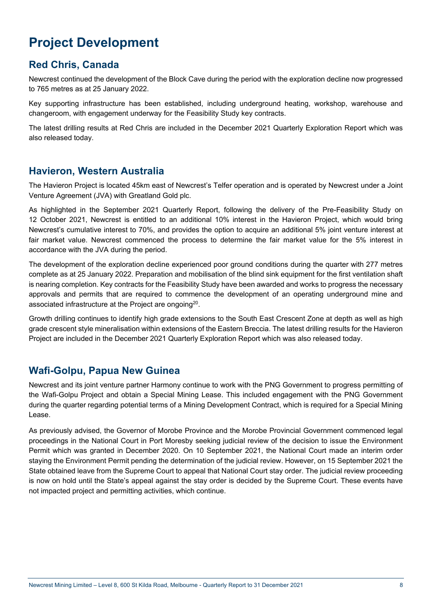## **Project Development**

### **Red Chris, Canada**

Newcrest continued the development of the Block Cave during the period with the exploration decline now progressed to 765 metres as at 25 January 2022.

Key supporting infrastructure has been established, including underground heating, workshop, warehouse and changeroom, with engagement underway for the Feasibility Study key contracts.

The latest drilling results at Red Chris are included in the December 2021 Quarterly Exploration Report which was also released today.

### **Havieron, Western Australia**

The Havieron Project is located 45km east of Newcrest's Telfer operation and is operated by Newcrest under a Joint Venture Agreement (JVA) with Greatland Gold plc.

As highlighted in the September 2021 Quarterly Report, following the delivery of the Pre-Feasibility Study on 12 October 2021, Newcrest is entitled to an additional 10% interest in the Havieron Project, which would bring Newcrest's cumulative interest to 70%, and provides the option to acquire an additional 5% joint venture interest at fair market value. Newcrest commenced the process to determine the fair market value for the 5% interest in accordance with the JVA during the period.

The development of the exploration decline experienced poor ground conditions during the quarter with 277 metres complete as at 25 January 2022. Preparation and mobilisation of the blind sink equipment for the first ventilation shaft is nearing completion. Key contracts for the Feasibility Study have been awarded and works to progress the necessary approvals and permits that are required to commence the development of an operating underground mine and associated infrastructure at the Project are ongoing<sup>20</sup>.

Growth drilling continues to identify high grade extensions to the South East Crescent Zone at depth as well as high grade crescent style mineralisation within extensions of the Eastern Breccia. The latest drilling results for the Havieron Project are included in the December 2021 Quarterly Exploration Report which was also released today.

### **Wafi-Golpu, Papua New Guinea**

Newcrest and its joint venture partner Harmony continue to work with the PNG Government to progress permitting of the Wafi-Golpu Project and obtain a Special Mining Lease. This included engagement with the PNG Government during the quarter regarding potential terms of a Mining Development Contract, which is required for a Special Mining Lease.

As previously advised, the Governor of Morobe Province and the Morobe Provincial Government commenced legal proceedings in the National Court in Port Moresby seeking judicial review of the decision to issue the Environment Permit which was granted in December 2020. On 10 September 2021, the National Court made an interim order staying the Environment Permit pending the determination of the judicial review. However, on 15 September 2021 the State obtained leave from the Supreme Court to appeal that National Court stay order. The judicial review proceeding is now on hold until the State's appeal against the stay order is decided by the Supreme Court. These events have not impacted project and permitting activities, which continue.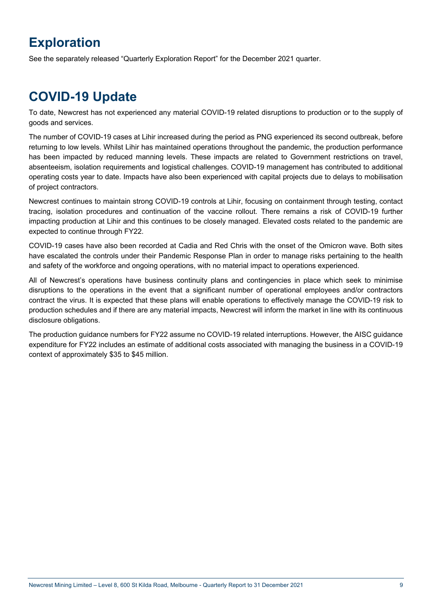## **Exploration**

See the separately released "Quarterly Exploration Report" for the December 2021 quarter.

## **COVID-19 Update**

To date, Newcrest has not experienced any material COVID-19 related disruptions to production or to the supply of goods and services.

The number of COVID-19 cases at Lihir increased during the period as PNG experienced its second outbreak, before returning to low levels. Whilst Lihir has maintained operations throughout the pandemic, the production performance has been impacted by reduced manning levels. These impacts are related to Government restrictions on travel, absenteeism, isolation requirements and logistical challenges. COVID-19 management has contributed to additional operating costs year to date. Impacts have also been experienced with capital projects due to delays to mobilisation of project contractors.

Newcrest continues to maintain strong COVID-19 controls at Lihir, focusing on containment through testing, contact tracing, isolation procedures and continuation of the vaccine rollout. There remains a risk of COVID-19 further impacting production at Lihir and this continues to be closely managed. Elevated costs related to the pandemic are expected to continue through FY22.

COVID-19 cases have also been recorded at Cadia and Red Chris with the onset of the Omicron wave. Both sites have escalated the controls under their Pandemic Response Plan in order to manage risks pertaining to the health and safety of the workforce and ongoing operations, with no material impact to operations experienced.

All of Newcrest's operations have business continuity plans and contingencies in place which seek to minimise disruptions to the operations in the event that a significant number of operational employees and/or contractors contract the virus. It is expected that these plans will enable operations to effectively manage the COVID-19 risk to production schedules and if there are any material impacts, Newcrest will inform the market in line with its continuous disclosure obligations.

The production guidance numbers for FY22 assume no COVID-19 related interruptions. However, the AISC guidance expenditure for FY22 includes an estimate of additional costs associated with managing the business in a COVID-19 context of approximately \$35 to \$45 million.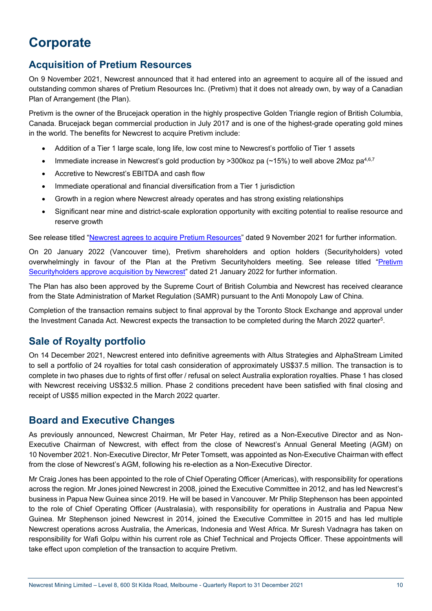## **Corporate**

### **Acquisition of Pretium Resources**

On 9 November 2021, Newcrest announced that it had entered into an agreement to acquire all of the issued and outstanding common shares of Pretium Resources Inc. (Pretivm) that it does not already own, by way of a Canadian Plan of Arrangement (the Plan).

Pretivm is the owner of the Brucejack operation in the highly prospective Golden Triangle region of British Columbia, Canada. Brucejack began commercial production in July 2017 and is one of the highest-grade operating gold mines in the world. The benefits for Newcrest to acquire Pretivm include:

- Addition of a Tier 1 large scale, long life, low cost mine to Newcrest's portfolio of Tier 1 assets
- Immediate increase in Newcrest's gold production by >300koz pa ( $\sim$ 15%) to well above 2Moz pa<sup>4,6,7</sup>
- Accretive to Newcrest's EBITDA and cash flow
- Immediate operational and financial diversification from a Tier 1 jurisdiction
- Growth in a region where Newcrest already operates and has strong existing relationships
- Significant near mine and district-scale exploration opportunity with exciting potential to realise resource and reserve growth

See release titled "Newcrest agrees to acquire Pretium Resources" dated 9 November 2021 for further information.

On 20 January 2022 (Vancouver time), Pretivm shareholders and option holders (Securityholders) voted overwhelmingly in favour of the Plan at the Pretivm Securityholders meeting. See release titled "Pretivm Securityholders approve acquisition by Newcrest" dated 21 January 2022 for further information.

The Plan has also been approved by the Supreme Court of British Columbia and Newcrest has received clearance from the State Administration of Market Regulation (SAMR) pursuant to the Anti Monopoly Law of China.

Completion of the transaction remains subject to final approval by the Toronto Stock Exchange and approval under the Investment Canada Act. Newcrest expects the transaction to be completed during the March 2022 quarter<sup>5</sup>.

### **Sale of Royalty portfolio**

On 14 December 2021, Newcrest entered into definitive agreements with Altus Strategies and AlphaStream Limited to sell a portfolio of 24 royalties for total cash consideration of approximately US\$37.5 million. The transaction is to complete in two phases due to rights of first offer / refusal on select Australia exploration royalties. Phase 1 has closed with Newcrest receiving US\$32.5 million. Phase 2 conditions precedent have been satisfied with final closing and receipt of US\$5 million expected in the March 2022 quarter.

### **Board and Executive Changes**

As previously announced, Newcrest Chairman, Mr Peter Hay, retired as a Non-Executive Director and as Non-Executive Chairman of Newcrest, with effect from the close of Newcrest's Annual General Meeting (AGM) on 10 November 2021. Non-Executive Director, Mr Peter Tomsett, was appointed as Non-Executive Chairman with effect from the close of Newcrest's AGM, following his re-election as a Non-Executive Director.

Mr Craig Jones has been appointed to the role of Chief Operating Officer (Americas), with responsibility for operations across the region. Mr Jones joined Newcrest in 2008, joined the Executive Committee in 2012, and has led Newcrest's business in Papua New Guinea since 2019. He will be based in Vancouver. Mr Philip Stephenson has been appointed to the role of Chief Operating Officer (Australasia), with responsibility for operations in Australia and Papua New Guinea. Mr Stephenson joined Newcrest in 2014, joined the Executive Committee in 2015 and has led multiple Newcrest operations across Australia, the Americas, Indonesia and West Africa. Mr Suresh Vadnagra has taken on responsibility for Wafi Golpu within his current role as Chief Technical and Projects Officer. These appointments will take effect upon completion of the transaction to acquire Pretivm.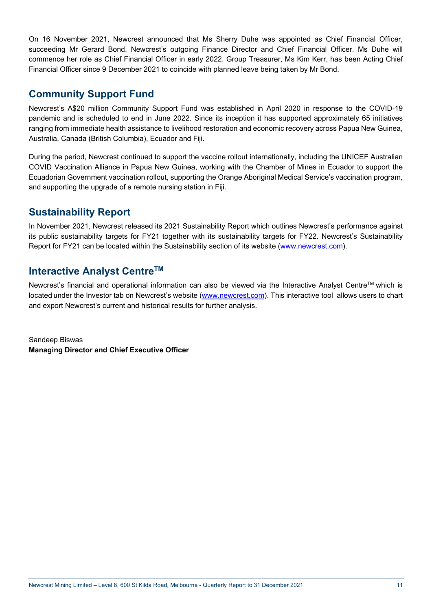On 16 November 2021, Newcrest announced that Ms Sherry Duhe was appointed as Chief Financial Officer, succeeding Mr Gerard Bond, Newcrest's outgoing Finance Director and Chief Financial Officer. Ms Duhe will commence her role as Chief Financial Officer in early 2022. Group Treasurer, Ms Kim Kerr, has been Acting Chief Financial Officer since 9 December 2021 to coincide with planned leave being taken by Mr Bond.

### **Community Support Fund**

Newcrest's A\$20 million Community Support Fund was established in April 2020 in response to the COVID-19 pandemic and is scheduled to end in June 2022. Since its inception it has supported approximately 65 initiatives ranging from immediate health assistance to livelihood restoration and economic recovery across Papua New Guinea, Australia, Canada (British Columbia), Ecuador and Fiji.

During the period, Newcrest continued to support the vaccine rollout internationally, including the UNICEF Australian COVID Vaccination Alliance in Papua New Guinea, working with the Chamber of Mines in Ecuador to support the Ecuadorian Government vaccination rollout, supporting the Orange Aboriginal Medical Service's vaccination program, and supporting the upgrade of a remote nursing station in Fiji.

### **Sustainability Report**

In November 2021, Newcrest released its 2021 Sustainability Report which outlines Newcrest's performance against its public sustainability targets for FY21 together with its sustainability targets for FY22. Newcrest's Sustainability Report for FY21 can be located within the Sustainability section of its website (www.newcrest.com).

### **Interactive Analyst Centre™**

Newcrest's financial and operational information can also be viewed via the Interactive Analyst Centre™ which is located under the Investor tab on Newcrest's website (www.newcrest.com). This interactive tool allows users to chart and export Newcrest's current and historical results for further analysis.

Sandeep Biswas **Managing Director and Chief Executive Officer**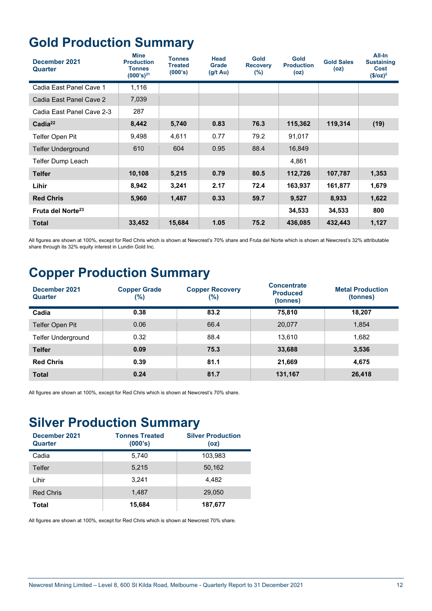## **Gold Production Summary**

| December 2021<br>Quarter      | <b>Mine</b><br><b>Production</b><br><b>Tonnes</b><br>$(000's)^{21}$ | Tonnes<br><b>Treated</b><br>(000's) | Head<br><b>Grade</b><br>$(g/t \text{ Au})$ | Gold<br><b>Recovery</b><br>$(\% )$ | Gold<br><b>Production</b><br>(oz) | <b>Gold Sales</b><br>(oz) | All-In<br><b>Sustaining</b><br><b>Cost</b><br>$($/oz)^2$ |
|-------------------------------|---------------------------------------------------------------------|-------------------------------------|--------------------------------------------|------------------------------------|-----------------------------------|---------------------------|----------------------------------------------------------|
| Cadia East Panel Cave 1       | 1,116                                                               |                                     |                                            |                                    |                                   |                           |                                                          |
| Cadia East Panel Cave 2       | 7,039                                                               |                                     |                                            |                                    |                                   |                           |                                                          |
| Cadia East Panel Cave 2-3     | 287                                                                 |                                     |                                            |                                    |                                   |                           |                                                          |
| Cada <sup>22</sup>            | 8,442                                                               | 5,740                               | 0.83                                       | 76.3                               | 115,362                           | 119,314                   | (19)                                                     |
| Telfer Open Pit               | 9,498                                                               | 4,611                               | 0.77                                       | 79.2                               | 91,017                            |                           |                                                          |
| <b>Telfer Underground</b>     | 610                                                                 | 604                                 | 0.95                                       | 88.4                               | 16,849                            |                           |                                                          |
| Telfer Dump Leach             |                                                                     |                                     |                                            |                                    | 4,861                             |                           |                                                          |
| <b>Telfer</b>                 | 10,108                                                              | 5,215                               | 0.79                                       | 80.5                               | 112,726                           | 107,787                   | 1,353                                                    |
| Lihir                         | 8,942                                                               | 3,241                               | 2.17                                       | 72.4                               | 163,937                           | 161,877                   | 1,679                                                    |
| <b>Red Chris</b>              | 5,960                                                               | 1,487                               | 0.33                                       | 59.7                               | 9,527                             | 8,933                     | 1,622                                                    |
| Fruta del Norte <sup>23</sup> |                                                                     |                                     |                                            |                                    | 34,533                            | 34,533                    | 800                                                      |
| <b>Total</b>                  | 33,452                                                              | 15,684                              | 1.05                                       | 75.2                               | 436,085                           | 432,443                   | 1,127                                                    |

All figures are shown at 100%, except for Red Chris which is shown at Newcrest's 70% share and Fruta del Norte which is shown at Newcrest's 32% attributable share through its 32% equity interest in Lundin Gold Inc.

## **Copper Production Summary**

| December 2021<br>Quarter  | <b>Copper Grade</b><br>(%) | <b>Copper Recovery</b><br>$(\%)$ | <b>Concentrate</b><br><b>Produced</b><br>(tonnes) | <b>Metal Production</b><br>(tonnes) |
|---------------------------|----------------------------|----------------------------------|---------------------------------------------------|-------------------------------------|
| Cadia                     | 0.38                       | 83.2                             | 75,810                                            | 18,207                              |
| Telfer Open Pit           | 0.06                       | 66.4                             | 20,077                                            | 1,854                               |
| <b>Telfer Underground</b> | 0.32                       | 88.4                             | 13.610                                            | 1,682                               |
| <b>Telfer</b>             | 0.09                       | 75.3                             | 33,688                                            | 3,536                               |
| <b>Red Chris</b>          | 0.39                       | 81.1                             | 21,669                                            | 4,675                               |
| <b>Total</b>              | 0.24                       | 81.7                             | 131,167                                           | 26,418                              |

All figures are shown at 100%, except for Red Chris which is shown at Newcrest's 70% share.

## **Silver Production Summary**

| December 2021<br>Quarter | <b>Tonnes Treated</b><br>(000's) | <b>Silver Production</b><br>(oz) |
|--------------------------|----------------------------------|----------------------------------|
| Cadia                    | 5,740                            | 103,983                          |
| Telfer                   | 5,215                            | 50,162                           |
| Lihir                    | 3.241                            | 4.482                            |
| <b>Red Chris</b>         | 1.487                            | 29.050                           |
| Total                    | 15,684                           | 187,677                          |

All figures are shown at 100%, except for Red Chris which is shown at Newcrest 70% share.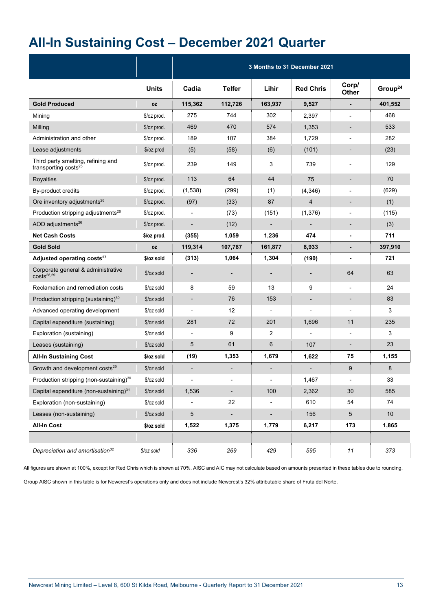## **All-In Sustaining Cost – December 2021 Quarter**

|                                                                        |              |                          |                |                          | 3 Months to 31 December 2021 |                          |                     |
|------------------------------------------------------------------------|--------------|--------------------------|----------------|--------------------------|------------------------------|--------------------------|---------------------|
|                                                                        | <b>Units</b> | Cadia                    | <b>Telfer</b>  | Lihir                    | <b>Red Chris</b>             | Corp/<br>Other           | Group <sup>24</sup> |
| <b>Gold Produced</b>                                                   | <b>OZ</b>    | 115,362                  | 112,726        | 163,937                  | 9,527                        | $\blacksquare$           | 401,552             |
| Mining                                                                 | \$/oz prod.  | 275                      | 744            | 302                      | 2,397                        |                          | 468                 |
| Milling                                                                | \$/oz prod.  | 469                      | 470            | 574                      | 1,353                        | $\overline{a}$           | 533                 |
| Administration and other                                               | \$/oz prod.  | 189                      | 107            | 384                      | 1,729                        | $\overline{\phantom{a}}$ | 282                 |
| Lease adjustments                                                      | \$/oz prod   | (5)                      | (58)           | (6)                      | (101)                        | $\overline{\phantom{0}}$ | (23)                |
| Third party smelting, refining and<br>transporting costs <sup>25</sup> | $02$ prod.   | 239                      | 149            | 3                        | 739                          | $\overline{\phantom{a}}$ | 129                 |
| Royalties                                                              | \$/oz prod.  | 113                      | 64             | 44                       | 75                           | $\overline{\phantom{0}}$ | 70                  |
| By-product credits                                                     | \$/oz prod.  | (1,538)                  | (299)          | (1)                      | (4,346)                      | $\overline{\phantom{0}}$ | (629)               |
| Ore inventory adjustments <sup>26</sup>                                | \$/oz prod.  | (97)                     | (33)           | 87                       | 4                            | $\overline{\phantom{0}}$ | (1)                 |
| Production stripping adjustments <sup>26</sup>                         | \$/oz prod.  |                          | (73)           | (151)                    | (1, 376)                     | $\overline{a}$           | (115)               |
| AOD adjustments <sup>26</sup>                                          | \$/oz prod.  |                          | (12)           |                          |                              | -                        | (3)                 |
| <b>Net Cash Costs</b>                                                  | \$/oz prod.  | (355)                    | 1,059          | 1,236                    | 474                          | $\overline{\phantom{0}}$ | 711                 |
| <b>Gold Sold</b>                                                       | 0Z           | 119,314                  | 107,787        | 161,877                  | 8,933                        | $\overline{a}$           | 397,910             |
| Adjusted operating costs <sup>27</sup>                                 | \$/oz sold   | (313)                    | 1,064          | 1,304                    | (190)                        | $\blacksquare$           | 721                 |
| Corporate general & administrative<br>$costs^{28,29}$                  | $$/oz$ sold  | $\overline{\phantom{a}}$ |                | $\overline{\phantom{a}}$ | $\overline{\phantom{a}}$     | 64                       | 63                  |
| Reclamation and remediation costs                                      | \$/oz sold   | 8                        | 59             | 13                       | 9                            | ٠                        | 24                  |
| Production stripping (sustaining) <sup>30</sup>                        | $$/oz$ sold  |                          | 76             | 153                      | $\overline{\phantom{a}}$     | $\overline{\phantom{0}}$ | 83                  |
| Advanced operating development                                         | \$/oz sold   |                          | 12             | $\overline{\phantom{a}}$ |                              | ÷                        | 3                   |
| Capital expenditure (sustaining)                                       | \$/oz sold   | 281                      | 72             | 201                      | 1,696                        | 11                       | 235                 |
| Exploration (sustaining)                                               | \$/oz sold   |                          | 9              | 2                        |                              | $\overline{a}$           | 3                   |
| Leases (sustaining)                                                    | \$/oz sold   | 5                        | 61             | 6                        | 107                          | $\overline{\phantom{0}}$ | 23                  |
| <b>All-In Sustaining Cost</b>                                          | \$/oz sold   | (19)                     | 1,353          | 1,679                    | 1,622                        | 75                       | 1,155               |
| Growth and development costs <sup>29</sup>                             | $$/oz$ sold  |                          |                |                          |                              | 9                        | 8                   |
| Production stripping (non-sustaining) <sup>30</sup>                    | \$/oz sold   |                          |                |                          | 1,467                        |                          | 33                  |
| Capital expenditure (non-sustaining) <sup>31</sup>                     | \$/oz sold   | 1,536                    | $\blacksquare$ | 100                      | 2,362                        | 30                       | 585                 |
| Exploration (non-sustaining)                                           | \$/oz sold   |                          | 22             |                          | 610                          | 54                       | 74                  |
| Leases (non-sustaining)                                                | \$/oz sold   | 5                        | $\blacksquare$ | -                        | 156                          | $5\phantom{.0}$          | 10 <sup>°</sup>     |
| <b>All-In Cost</b>                                                     | \$/oz sold   | 1,522                    | 1,375          | 1,779                    | 6,217                        | 173                      | 1,865               |
|                                                                        |              |                          |                |                          |                              |                          |                     |
| Depreciation and amortisation <sup>32</sup>                            | \$/oz sold   | 336                      | 269            | 429                      | 595                          | $11$                     | 373                 |

All figures are shown at 100%, except for Red Chris which is shown at 70%. AISC and AIC may not calculate based on amounts presented in these tables due to rounding.

Group AISC shown in this table is for Newcrest's operations only and does not include Newcrest's 32% attributable share of Fruta del Norte.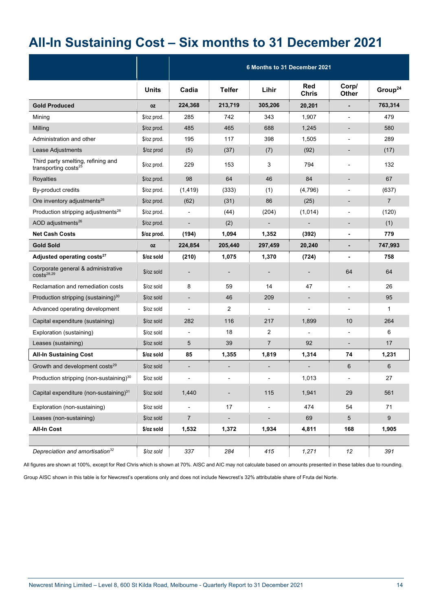## **All-In Sustaining Cost – Six months to 31 December 2021**

|                                                                        |              |                          |                          | 6 Months to 31 December 2021 |                            |                          |                     |
|------------------------------------------------------------------------|--------------|--------------------------|--------------------------|------------------------------|----------------------------|--------------------------|---------------------|
|                                                                        | <b>Units</b> | Cadia                    | <b>Telfer</b>            | Lihir                        | <b>Red</b><br><b>Chris</b> | Corp/<br><b>Other</b>    | Group <sup>24</sup> |
| <b>Gold Produced</b>                                                   | 0Z           | 224,368                  | 213,719                  | 305,206                      | 20,201                     | $\blacksquare$           | 763,314             |
| Mining                                                                 | \$/oz prod.  | 285                      | 742                      | 343                          | 1,907                      | $\overline{\phantom{a}}$ | 479                 |
| Milling                                                                | \$/oz prod.  | 485                      | 465                      | 688                          | 1,245                      | $\overline{\phantom{a}}$ | 580                 |
| Administration and other                                               | \$/oz prod.  | 195                      | 117                      | 398                          | 1,505                      | $\blacksquare$           | 289                 |
| Lease Adjustments                                                      | \$/oz prod   | (5)                      | (37)                     | (7)                          | (92)                       | $\overline{\phantom{a}}$ | (17)                |
| Third party smelting, refining and<br>transporting costs <sup>25</sup> | \$/oz prod.  | 229                      | 153                      | 3                            | 794                        | $\blacksquare$           | 132                 |
| <b>Royalties</b>                                                       | \$/oz prod.  | 98                       | 64                       | 46                           | 84                         | $\overline{\phantom{a}}$ | 67                  |
| By-product credits                                                     | $$/oz$ prod. | (1, 419)                 | (333)                    | (1)                          | (4,796)                    |                          | (637)               |
| Ore inventory adjustments <sup>26</sup>                                | \$/oz prod.  | (62)                     | (31)                     | 86                           | (25)                       | $\overline{\phantom{a}}$ | $\overline{7}$      |
| Production stripping adjustments <sup>26</sup>                         | $$/oz$ prod. | $\overline{\phantom{a}}$ | (44)                     | (204)                        | (1,014)                    | $\overline{\phantom{a}}$ | (120)               |
| AOD adjustments <sup>26</sup>                                          | \$/oz prod.  | $\overline{a}$           | (2)                      | $\blacksquare$               | $\overline{\phantom{a}}$   | $\overline{\phantom{a}}$ | (1)                 |
| <b>Net Cash Costs</b>                                                  | \$/oz prod.  | (194)                    | 1,094                    | 1,352                        | (392)                      |                          | 779                 |
| <b>Gold Sold</b>                                                       | 0Z           | 224,854                  | 205,440                  | 297,459                      | 20,240                     | $\blacksquare$           | 747,993             |
| Adjusted operating costs <sup>27</sup>                                 | \$/oz sold   | (210)                    | 1,075                    | 1,370                        | (724)                      | $\blacksquare$           | 758                 |
| Corporate general & administrative<br>$costs^{28,29}$                  | $$/oz$ sold  |                          | $\overline{\phantom{a}}$ |                              |                            | 64                       | 64                  |
| Reclamation and remediation costs                                      | \$/oz sold   | 8                        | 59                       | 14                           | 47                         | $\blacksquare$           | 26                  |
| Production stripping (sustaining) <sup>30</sup>                        | $$/oz$ sold  | $\overline{\phantom{a}}$ | 46                       | 209                          | $\frac{1}{2}$              | $\overline{\phantom{a}}$ | 95                  |
| Advanced operating development                                         | $$/oz$ sold  | ÷,                       | 2                        | $\overline{\phantom{a}}$     | $\overline{\phantom{a}}$   |                          | $\mathbf{1}$        |
| Capital expenditure (sustaining)                                       | $$/oz$ sold  | 282                      | 116                      | 217                          | 1,899                      | 10                       | 264                 |
| Exploration (sustaining)                                               | $$/oz$ sold  | $\overline{\phantom{a}}$ | 18                       | 2                            | $\overline{\phantom{a}}$   |                          | 6                   |
| Leases (sustaining)                                                    | $$/oz$ sold  | 5                        | 39                       | 7                            | 92                         | $\overline{\phantom{a}}$ | 17                  |
| <b>All-In Sustaining Cost</b>                                          | \$/oz sold   | 85                       | 1,355                    | 1,819                        | 1,314                      | 74                       | 1,231               |
| Growth and development costs <sup>29</sup>                             | $$/oz$ sold  | $\overline{a}$           | $\overline{a}$           | $\overline{\phantom{m}}$     | $\overline{\phantom{0}}$   | 6                        | 6                   |
| Production stripping (non-sustaining) <sup>30</sup>                    | \$/oz sold   | $\overline{a}$           | $\overline{\phantom{0}}$ | $\blacksquare$               | 1,013                      |                          | 27                  |
| Capital expenditure (non-sustaining) <sup>31</sup>                     | \$/oz sold   | 1,440                    |                          | 115                          | 1,941                      | 29                       | 561                 |
| Exploration (non-sustaining)                                           | \$/oz sold   |                          | 17                       | $\blacksquare$               | 474                        | 54                       | 71                  |
| Leases (non-sustaining)                                                | $0z$ sold    | $\overline{7}$           | $\overline{\phantom{a}}$ | $\blacksquare$               | 69                         | 5                        | $9\,$               |
| <b>All-In Cost</b>                                                     | \$/oz sold   | 1,532                    | 1,372                    | 1,934                        | 4,811                      | 168                      | 1,905               |
|                                                                        |              |                          |                          |                              |                            |                          |                     |
| Depreciation and amortisation <sup>32</sup>                            | \$/oz sold   | 337                      | 284                      | 415                          | 1,271                      | 12                       | 391                 |

All figures are shown at 100%, except for Red Chris which is shown at 70%. AISC and AIC may not calculate based on amounts presented in these tables due to rounding.

Group AISC shown in this table is for Newcrest's operations only and does not include Newcrest's 32% attributable share of Fruta del Norte.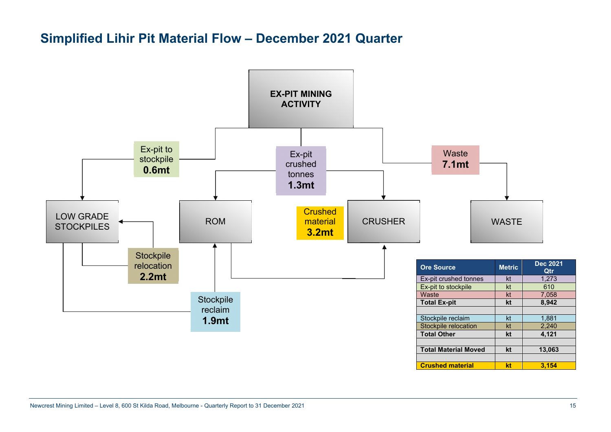## **Simplified Lihir Pit Material Flow – December 2021 Quarter**

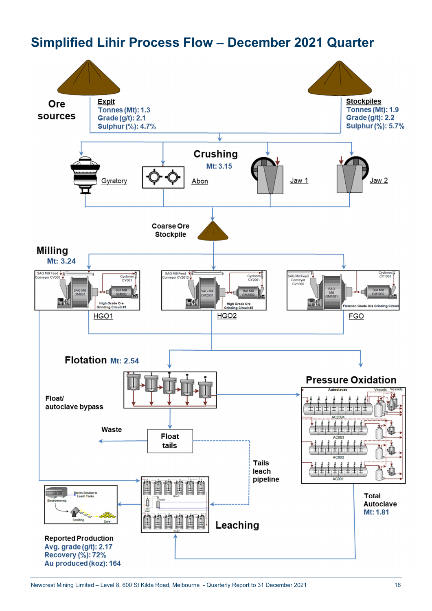## **Simplified Lihir Process Flow – December 2021 Quarter**

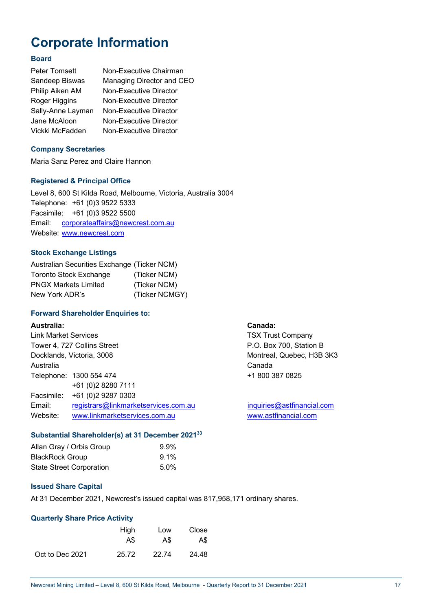## **Corporate Information**

#### **Board**

| Peter Tomsett     | Non-Executive Chairman    |
|-------------------|---------------------------|
| Sandeep Biswas    | Managing Director and CEO |
| Philip Aiken AM   | Non-Executive Director    |
| Roger Higgins     | Non-Executive Director    |
| Sally-Anne Layman | Non-Executive Director    |
| Jane McAloon      | Non-Executive Director    |
| Vickki McFadden   | Non-Executive Director    |

#### **Company Secretaries**

Maria Sanz Perez and Claire Hannon

#### **Registered & Principal Office**

Level 8, 600 St Kilda Road, Melbourne, Victoria, Australia 3004 Telephone: +61 (0)3 9522 5333 Facsimile: +61 (0)3 9522 5500 Email: corporateaffairs@newcrest.com.au Website: www.newcrest.com

### **Stock Exchange Listings**

| Australian Securities Exchange (Ticker NCM) |                |
|---------------------------------------------|----------------|
| <b>Toronto Stock Exchange</b>               | (Ticker NCM)   |
| <b>PNGX Markets Limited</b>                 | (Ticker NCM)   |
| New York ADR's                              | (Ticker NCMGY) |

### **Forward Shareholder Enquiries to:**

#### **Australia: Canada:**

| <b>Link Market Services</b> |                                      | <b>TSX Tru</b> |
|-----------------------------|--------------------------------------|----------------|
|                             | Tower 4, 727 Collins Street          | $P.O.$ Box     |
|                             | Docklands, Victoria, 3008            | Montrea        |
| Australia                   |                                      | Canada         |
|                             | Telephone: 1300 554 474              | $+18003$       |
|                             | +61 (0)2 8280 7111                   |                |
|                             | Facsimile: +61 (0) 2 9287 0303       |                |
| Email:                      | registrars@linkmarketservices.com.au | inquiries      |
| Website:                    | www.linkmarketservices.com.au        | www.ast        |

### **Substantial Shareholder(s) at 31 December 202133**

| Allan Gray / Orbis Group        | $9.9\%$ |
|---------------------------------|---------|
| <b>BlackRock Group</b>          | $9.1\%$ |
| <b>State Street Corporation</b> | $5.0\%$ |

#### **Issued Share Capital**

At 31 December 2021, Newcrest's issued capital was 817,958,171 ordinary shares.

#### **Quarterly Share Price Activity**

|                 | High  | Low   | Close |
|-----------------|-------|-------|-------|
|                 | A\$   | A\$   | A\$   |
| Oct to Dec 2021 | 25.72 | 22.74 | 24.48 |

**TSX Trust Company** P.O. Box 700, Station B Montreal, Quebec, H3B 3K3 +1800 387 0825

inquiries@astfinancial.com www.astfinancial.com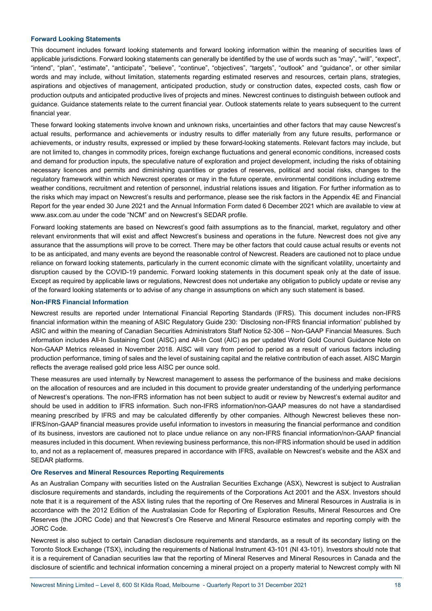#### **Forward Looking Statements**

This document includes forward looking statements and forward looking information within the meaning of securities laws of applicable jurisdictions. Forward looking statements can generally be identified by the use of words such as "may", "will", "expect", "intend", "plan", "estimate", "anticipate", "believe", "continue", "objectives", "targets", "outlook" and "guidance", or other similar words and may include, without limitation, statements regarding estimated reserves and resources, certain plans, strategies, aspirations and objectives of management, anticipated production, study or construction dates, expected costs, cash flow or production outputs and anticipated productive lives of projects and mines. Newcrest continues to distinguish between outlook and guidance. Guidance statements relate to the current financial year. Outlook statements relate to years subsequent to the current financial year.

These forward looking statements involve known and unknown risks, uncertainties and other factors that may cause Newcrest's actual results, performance and achievements or industry results to differ materially from any future results, performance or achievements, or industry results, expressed or implied by these forward-looking statements. Relevant factors may include, but are not limited to, changes in commodity prices, foreign exchange fluctuations and general economic conditions, increased costs and demand for production inputs, the speculative nature of exploration and project development, including the risks of obtaining necessary licences and permits and diminishing quantities or grades of reserves, political and social risks, changes to the regulatory framework within which Newcrest operates or may in the future operate, environmental conditions including extreme weather conditions, recruitment and retention of personnel, industrial relations issues and litigation. For further information as to the risks which may impact on Newcrest's results and performance, please see the risk factors in the Appendix 4E and Financial Report for the year ended 30 June 2021 and the Annual Information Form dated 6 December 2021 which are available to view at www.asx.com.au under the code "NCM" and on Newcrest's SEDAR profile.

Forward looking statements are based on Newcrest's good faith assumptions as to the financial, market, regulatory and other relevant environments that will exist and affect Newcrest's business and operations in the future. Newcrest does not give any assurance that the assumptions will prove to be correct. There may be other factors that could cause actual results or events not to be as anticipated, and many events are beyond the reasonable control of Newcrest. Readers are cautioned not to place undue reliance on forward looking statements, particularly in the current economic climate with the significant volatility, uncertainty and disruption caused by the COVID-19 pandemic. Forward looking statements in this document speak only at the date of issue. Except as required by applicable laws or regulations, Newcrest does not undertake any obligation to publicly update or revise any of the forward looking statements or to advise of any change in assumptions on which any such statement is based.

#### **Non-IFRS Financial Information**

Newcrest results are reported under International Financial Reporting Standards (IFRS). This document includes non-IFRS financial information within the meaning of ASIC Regulatory Guide 230: 'Disclosing non-IFRS financial information' published by ASIC and within the meaning of Canadian Securities Administrators Staff Notice 52-306 – Non-GAAP Financial Measures. Such information includes All-In Sustaining Cost (AISC) and All-In Cost (AIC) as per updated World Gold Council Guidance Note on Non-GAAP Metrics released in November 2018. AISC will vary from period to period as a result of various factors including production performance, timing of sales and the level of sustaining capital and the relative contribution of each asset. AISC Margin reflects the average realised gold price less AISC per ounce sold.

These measures are used internally by Newcrest management to assess the performance of the business and make decisions on the allocation of resources and are included in this document to provide greater understanding of the underlying performance of Newcrest's operations. The non-IFRS information has not been subject to audit or review by Newcrest's external auditor and should be used in addition to IFRS information. Such non-IFRS information/non-GAAP measures do not have a standardised meaning prescribed by IFRS and may be calculated differently by other companies. Although Newcrest believes these non-IFRS/non-GAAP financial measures provide useful information to investors in measuring the financial performance and condition of its business, investors are cautioned not to place undue reliance on any non-IFRS financial information/non-GAAP financial measures included in this document. When reviewing business performance, this non-IFRS information should be used in addition to, and not as a replacement of, measures prepared in accordance with IFRS, available on Newcrest's website and the ASX and SEDAR platforms.

#### **Ore Reserves and Mineral Resources Reporting Requirements**

As an Australian Company with securities listed on the Australian Securities Exchange (ASX), Newcrest is subject to Australian disclosure requirements and standards, including the requirements of the Corporations Act 2001 and the ASX. Investors should note that it is a requirement of the ASX listing rules that the reporting of Ore Reserves and Mineral Resources in Australia is in accordance with the 2012 Edition of the Australasian Code for Reporting of Exploration Results, Mineral Resources and Ore Reserves (the JORC Code) and that Newcrest's Ore Reserve and Mineral Resource estimates and reporting comply with the JORC Code.

Newcrest is also subject to certain Canadian disclosure requirements and standards, as a result of its secondary listing on the Toronto Stock Exchange (TSX), including the requirements of National Instrument 43-101 (NI 43-101). Investors should note that it is a requirement of Canadian securities law that the reporting of Mineral Reserves and Mineral Resources in Canada and the disclosure of scientific and technical information concerning a mineral project on a property material to Newcrest comply with NI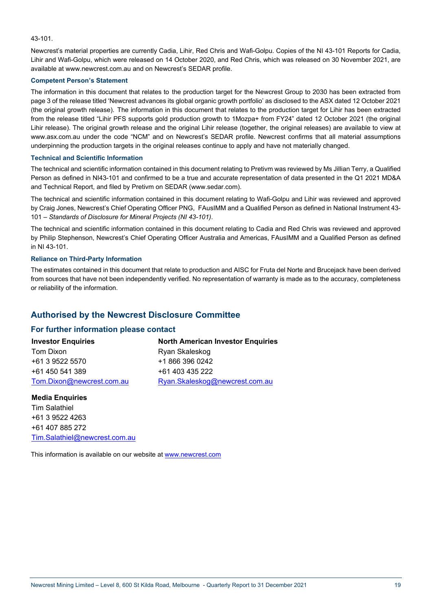#### 43-101.

Newcrest's material properties are currently Cadia, Lihir, Red Chris and Wafi-Golpu. Copies of the NI 43-101 Reports for Cadia, Lihir and Wafi-Golpu, which were released on 14 October 2020, and Red Chris, which was released on 30 November 2021, are available at www.newcrest.com.au and on Newcrest's SEDAR profile.

#### **Competent Person's Statement**

The information in this document that relates to the production target for the Newcrest Group to 2030 has been extracted from page 3 of the release titled 'Newcrest advances its global organic growth portfolio' as disclosed to the ASX dated 12 October 2021 (the original growth release). The information in this document that relates to the production target for Lihir has been extracted from the release titled "Lihir PFS supports gold production growth to 1Mozpa+ from FY24" dated 12 October 2021 (the original Lihir release). The original growth release and the original Lihir release (together, the original releases) are available to view at www.asx.com.au under the code "NCM" and on Newcrest's SEDAR profile. Newcrest confirms that all material assumptions underpinning the production targets in the original releases continue to apply and have not materially changed.

#### **Technical and Scientific Information**

The technical and scientific information contained in this document relating to Pretivm was reviewed by Ms Jillian Terry, a Qualified Person as defined in NI43-101 and confirmed to be a true and accurate representation of data presented in the Q1 2021 MD&A and Technical Report, and filed by Pretivm on SEDAR (www.sedar.com).

The technical and scientific information contained in this document relating to Wafi-Golpu and Lihir was reviewed and approved by Craig Jones, Newcrest's Chief Operating Officer PNG, FAusIMM and a Qualified Person as defined in National Instrument 43- 101 – *Standards of Disclosure for Mineral Projects (NI 43-101)*.

The technical and scientific information contained in this document relating to Cadia and Red Chris was reviewed and approved by Philip Stephenson, Newcrest's Chief Operating Officer Australia and Americas, FAusIMM and a Qualified Person as defined in NI 43-101.

#### **Reliance on Third-Party Information**

The estimates contained in this document that relate to production and AISC for Fruta del Norte and Brucejack have been derived from sources that have not been independently verified. No representation of warranty is made as to the accuracy, completeness or reliability of the information.

### **Authorised by the Newcrest Disclosure Committee**

#### **For further information please contact**

#### **North American Investor Enquiries**

Tom Dixon +61 3 9522 5570 +61 450 541 389 Tom.Dixon@newcrest.com.au Ryan Skaleskog +1 866 396 0242 +61 403 435 222 Ryan.Skaleskog@newcrest.com.au

#### **Media Enquiries**

**Investor Enquiries**

Tim Salathiel +61 3 9522 4263 +61 407 885 272 Tim.Salathiel@newcrest.com.au

This information is available on our website at www.newcrest.com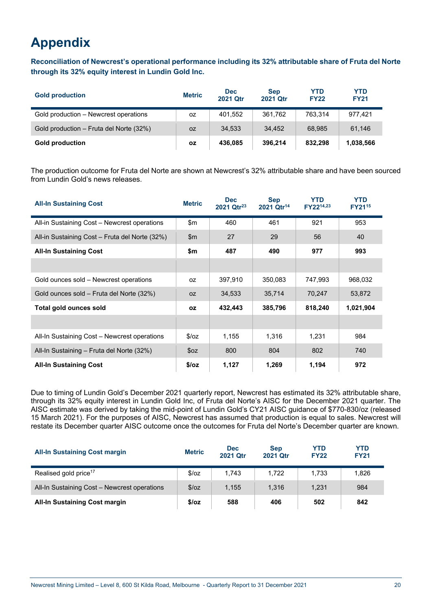## **Appendix**

**Reconciliation of Newcrest's operational performance including its 32% attributable share of Fruta del Norte through its 32% equity interest in Lundin Gold Inc.**

| <b>Gold production</b>                  | <b>Metric</b> | <b>Dec</b><br><b>2021 Qtr</b> | <b>Sep</b><br><b>2021 Otr</b> | <b>YTD</b><br><b>FY22</b> | <b>YTD</b><br><b>FY21</b> |
|-----------------------------------------|---------------|-------------------------------|-------------------------------|---------------------------|---------------------------|
| Gold production – Newcrest operations   | 0Z            | 401.552                       | 361,762                       | 763.314                   | 977.421                   |
| Gold production - Fruta del Norte (32%) | <b>OZ</b>     | 34.533                        | 34.452                        | 68.985                    | 61.146                    |
| <b>Gold production</b>                  | <b>OZ</b>     | 436,085                       | 396,214                       | 832.298                   | 1,038,566                 |

The production outcome for Fruta del Norte are shown at Newcrest's 32% attributable share and have been sourced from Lundin Gold's news releases.

| <b>All-In Sustaining Cost</b>                  | <b>Metric</b> | <b>Dec</b><br>2021 Qtr <sup>23</sup> | <b>Sep</b><br>2021 Qtr <sup>14</sup> | <b>YTD</b><br>FY2214,23 | <b>YTD</b><br>FY21 <sup>15</sup> |
|------------------------------------------------|---------------|--------------------------------------|--------------------------------------|-------------------------|----------------------------------|
| All-in Sustaining Cost - Newcrest operations   | $\mathsf{m}$  | 460                                  | 461                                  | 921                     | 953                              |
| All-in Sustaining Cost - Fruta del Norte (32%) | $\mathsf{Sm}$ | 27                                   | 29                                   | 56                      | 40                               |
| <b>All-In Sustaining Cost</b>                  | \$m           | 487                                  | 490                                  | 977                     | 993                              |
|                                                |               |                                      |                                      |                         |                                  |
| Gold ounces sold – Newcrest operations         | OZ.           | 397,910                              | 350,083                              | 747,993                 | 968,032                          |
| Gold ounces sold – Fruta del Norte (32%)       | OZ.           | 34,533                               | 35,714                               | 70,247                  | 53,872                           |
| Total gold ounces sold                         | <b>OZ</b>     | 432,443                              | 385,796                              | 818,240                 | 1,021,904                        |
|                                                |               |                                      |                                      |                         |                                  |
| All-In Sustaining Cost - Newcrest operations   | S/OZ          | 1,155                                | 1,316                                | 1,231                   | 984                              |
| All-In Sustaining - Fruta del Norte (32%)      | \$oz          | 800                                  | 804                                  | 802                     | 740                              |
| <b>All-In Sustaining Cost</b>                  | \$/oz         | 1,127                                | 1,269                                | 1,194                   | 972                              |

Due to timing of Lundin Gold's December 2021 quarterly report, Newcrest has estimated its 32% attributable share, through its 32% equity interest in Lundin Gold Inc, of Fruta del Norte's AISC for the December 2021 quarter. The AISC estimate was derived by taking the mid-point of Lundin Gold's CY21 AISC guidance of \$770-830/oz (released 15 March 2021). For the purposes of AISC, Newcrest has assumed that production is equal to sales. Newcrest will restate its December quarter AISC outcome once the outcomes for Fruta del Norte's December quarter are known.

| <b>All-In Sustaining Cost margin</b>         | <b>Metric</b> | <b>Dec</b><br><b>2021 Qtr</b> | <b>Sep</b><br>2021 Otr | <b>YTD</b><br><b>FY22</b> | <b>YTD</b><br><b>FY21</b> |
|----------------------------------------------|---------------|-------------------------------|------------------------|---------------------------|---------------------------|
| Realised gold price <sup>17</sup>            | S/OZ          | 1.743                         | 1.722                  | 1.733                     | 1,826                     |
| All-In Sustaining Cost - Newcrest operations | \$/oz         | 1.155                         | 1.316                  | 1.231                     | 984                       |
| <b>All-In Sustaining Cost margin</b>         | \$/oz         | 588                           | 406                    | 502                       | 842                       |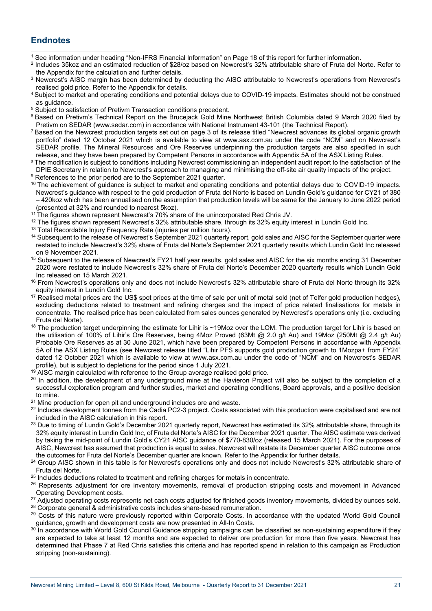### **Endnotes**

- <sup>1</sup> See information under heading "Non-IFRS Financial Information" on Page 18 of this report for further information.<br><sup>2</sup> Includes 35koz and an estimated reduction of \$28/oz based on Newcrest's 32% attributable share of F the Appendix for the calculation and further details.<br><sup>3</sup> Newcrest's AISC margin has been determined by deducting the AISC attributable to Newcrest's operations from Newcrest's
- realised gold price. Refer to the Appendix for details.
- 4 Subject to market and operating conditions and potential delays due to COVID-19 impacts. Estimates should not be construed as guidance.
- <sup>5</sup> Subject to satisfaction of Pretivm Transaction conditions precedent.
- <sup>6</sup> Based on Pretivm's Technical Report on the Brucejack Gold Mine Northwest British Columbia dated 9 March 2020 filed by<br>Pretivm on SEDAR (www.sedar.com) in accordance with National Instrument 43-101 (the Technical Report
- 7 Based on the Newcrest production targets set out on page 3 of its release titled "Newcrest advances its global organic growth portfolio" dated 12 October 2021 which is available to view at www.asx.com.au under the code "NCM" and on Newcrest's SEDAR profile. The Mineral Resources and Ore Reserves underpinning the production targets are also specified in such release, and they have been prepared by Competent Persons in accordance with Appendix 5A of the ASX Listi
- <sup>8</sup> The modification is subject to conditions including Newcrest commissioning an independent audit report to the satisfaction of the DPIE Secretary in relation to Newcrest's approach to managing and minimising the off-site air quality impacts of the project.
- <sup>9</sup> References to the prior period are to the September 2021 quarter.
- <sup>10</sup> The achievement of guidance is subject to market and operating conditions and potential delays due to COVID-19 impacts. Newcrest's guidance with respect to the gold production of Fruta del Norte is based on Lundin Gold's guidance for CY21 of 380 – 420koz which has been annualised on the assumption that production levels will be same for the January to June 2022 period
- (presented at 32% and rounded to nearest 5koz).<br><sup>11</sup> The figures shown represent Newcrest's 70% share of the unincorporated Red Chris JV.
- $12$  The figures shown represent Newcrest's 32% attributable share, through its 32% equity interest in Lundin Gold Inc.<br> $13$  Total Recordable Injury Frequency Rate (injuries per million hours).
- 
- <sup>14</sup> Subsequent to the release of Newcrest's September 2021 quarterly report, gold sales and AISC for the September quarter were restated to include Newcrest's 32% share of Fruta del Norte's September 2021 quarterly results which Lundin Gold Inc released on 9 November 2021.
- <sup>15</sup> Subsequent to the release of Newcrest's FY21 half year results, gold sales and AISC for the six months ending 31 December 2020 were restated to include Newcrest's 32% share of Fruta del Norte's December 2020 quarterly results which Lundin Gold Inc released on 15 March 2021.
- <sup>16</sup> From Newcrest's operations only and does not include Newcrest's 32% attributable share of Fruta del Norte through its 32% equity interest in Lundin Gold Inc.
- <sup>17</sup> Realised metal prices are the US\$ spot prices at the time of sale per unit of metal sold (net of Telfer gold production hedges), excluding deductions related to treatment and refining charges and the impact of price related finalisations for metals in concentrate. The realised price has been calculated from sales ounces generated by Newcrest's operations only (i.e. excluding Fruta del Norte).
- 18 The production target underpinning the estimate for Lihir is ~19Moz over the LOM. The production target for Lihir is based on the utilisation of 100% of Lihir's Ore Reserves, being 4Moz Proved (63Mt @ 2.0 g/t Au) and 19Moz (250Mt @ 2.4 g/t Au) Probable Ore Reserves as at 30 June 2021, which have been prepared by Competent Persons in accordance with Appendix 5A of the ASX Listing Rules (see Newcrest release titled "Lihir PFS supports gold production growth to 1Mozpa+ from FY24" dated 12 October 2021 which is available to view at www.asx.com.au under the code of "NCM" and on Newcrest's SEDAR profile), but is subject to depletions for the period since 1 July 2021.
- 19 AISC margin calculated with reference to the Group average realised gold price.
- <sup>20</sup> In addition, the development of any underground mine at the Havieron Project will also be subject to the completion of a successful exploration program and further studies, market and operating conditions, Board approvals, and a positive decision to mine.
- <sup>21</sup> Mine production for open pit and underground includes ore and waste.
- <sup>22</sup> Includes development tonnes from the Cadia PC2-3 project. Costs associated with this production were capitalised and are not included in the AISC calculation in this report.
- <sup>23</sup> Due to timing of Lundin Gold's December 2021 quarterly report, Newcrest has estimated its 32% attributable share, through its 32% equity interest in Lundin Gold Inc, of Fruta del Norte's AISC for the December 2021 quarter. The AISC estimate was derived by taking the mid-point of Lundin Gold's CY21 AISC guidance of \$770-830/oz (released 15 March 2021). For the purposes of AISC, Newcrest has assumed that production is equal to sales. Newcrest will restate its December quarter AISC outcome once
- the outcomes for Fruta del Norte's December quarter are known. Refer to the Appendix for further details.<br><sup>24</sup> Group AISC shown in this table is for Newcrest's operations only and does not include Newcrest's 32% attributab
- Fruta del Norte.<br><sup>25</sup> Includes deductions related to treatment and refining charges for metals in concentrate.
- <sup>26</sup> Represents adjustment for ore inventory movements, removal of production stripping costs and movement in Advanced Operating Development costs.
- <sup>27</sup> Adjusted operating costs represents net cash costs adjusted for finished goods inventory movements, divided by ounces sold.<br><sup>28</sup> Corporate general & administrative costs includes share-based remuneration.<br><sup>29</sup> Costs o
- 
- guidance, growth and development costs are now presented in All-In Costs.<br><sup>30</sup> In accordance with World Gold Council Guidance stripping campaigns can be classified as non-sustaining expenditure if they
- are expected to take at least 12 months and are expected to deliver ore production for more than five years. Newcrest has determined that Phase 7 at Red Chris satisfies this criteria and has reported spend in relation to this campaign as Production stripping (non-sustaining).